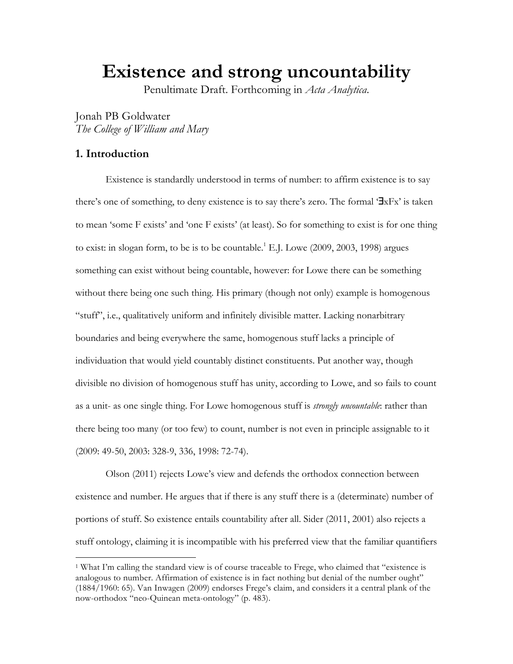**Existence and strong uncountability**

Penultimate Draft. Forthcoming in *Acta Analytica*.

Jonah PB Goldwater *The College of William and Mary* 

# **1. Introduction**

 $\overline{a}$ 

Existence is standardly understood in terms of number: to affirm existence is to say there's one of something, to deny existence is to say there's zero. The formal '∃xFx' is taken to mean 'some F exists' and 'one F exists' (at least). So for something to exist is for one thing to exist: in slogan form, to be is to be countable.<sup>1</sup> E.J. Lowe  $(2009, 2003, 1998)$  argues something can exist without being countable, however: for Lowe there can be something without there being one such thing. His primary (though not only) example is homogenous "stuff", i.e., qualitatively uniform and infinitely divisible matter. Lacking nonarbitrary boundaries and being everywhere the same, homogenous stuff lacks a principle of individuation that would yield countably distinct constituents. Put another way, though divisible no division of homogenous stuff has unity, according to Lowe, and so fails to count as a unit- as one single thing. For Lowe homogenous stuff is *strongly uncountable*: rather than there being too many (or too few) to count, number is not even in principle assignable to it (2009: 49-50, 2003: 328-9, 336, 1998: 72-74).

Olson (2011) rejects Lowe's view and defends the orthodox connection between existence and number. He argues that if there is any stuff there is a (determinate) number of portions of stuff. So existence entails countability after all. Sider (2011, 2001) also rejects a stuff ontology, claiming it is incompatible with his preferred view that the familiar quantifiers

<sup>1</sup> What I'm calling the standard view is of course traceable to Frege, who claimed that "existence is analogous to number. Affirmation of existence is in fact nothing but denial of the number ought" (1884/1960: 65). Van Inwagen (2009) endorses Frege's claim, and considers it a central plank of the now-orthodox "neo-Quinean meta-ontology" (p. 483).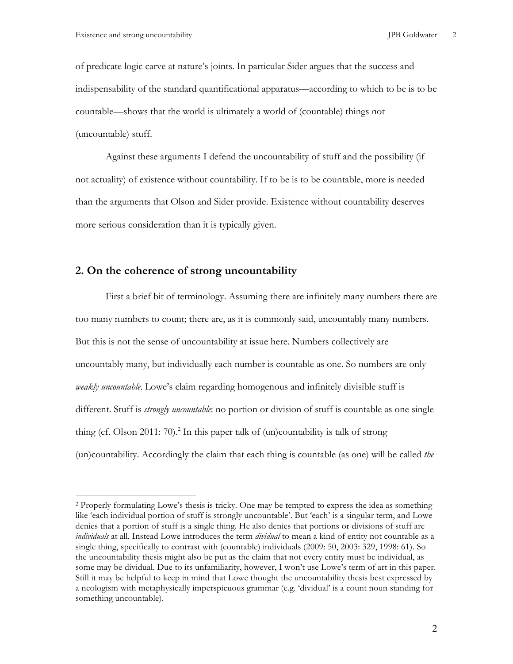of predicate logic carve at nature's joints. In particular Sider argues that the success and indispensability of the standard quantificational apparatus—according to which to be is to be countable—shows that the world is ultimately a world of (countable) things not (uncountable) stuff.

Against these arguments I defend the uncountability of stuff and the possibility (if not actuality) of existence without countability. If to be is to be countable, more is needed than the arguments that Olson and Sider provide. Existence without countability deserves more serious consideration than it is typically given.

### **2. On the coherence of strong uncountability**

First a brief bit of terminology. Assuming there are infinitely many numbers there are too many numbers to count; there are, as it is commonly said, uncountably many numbers. But this is not the sense of uncountability at issue here. Numbers collectively are uncountably many, but individually each number is countable as one. So numbers are only *weakly uncountable*. Lowe's claim regarding homogenous and infinitely divisible stuff is different. Stuff is *strongly uncountable*: no portion or division of stuff is countable as one single thing (cf. Olson 2011: 70).<sup>2</sup> In this paper talk of (un)countability is talk of strong (un)countability. Accordingly the claim that each thing is countable (as one) will be called *the* 

<sup>2</sup> Properly formulating Lowe's thesis is tricky. One may be tempted to express the idea as something like 'each individual portion of stuff is strongly uncountable'. But 'each' is a singular term, and Lowe denies that a portion of stuff is a single thing. He also denies that portions or divisions of stuff are *individuals* at all. Instead Lowe introduces the term *dividual* to mean a kind of entity not countable as a single thing, specifically to contrast with (countable) individuals (2009: 50, 2003: 329, 1998: 61). So the uncountability thesis might also be put as the claim that not every entity must be individual, as some may be dividual. Due to its unfamiliarity, however, I won't use Lowe's term of art in this paper. Still it may be helpful to keep in mind that Lowe thought the uncountability thesis best expressed by a neologism with metaphysically imperspicuous grammar (e.g. 'dividual' is a count noun standing for something uncountable).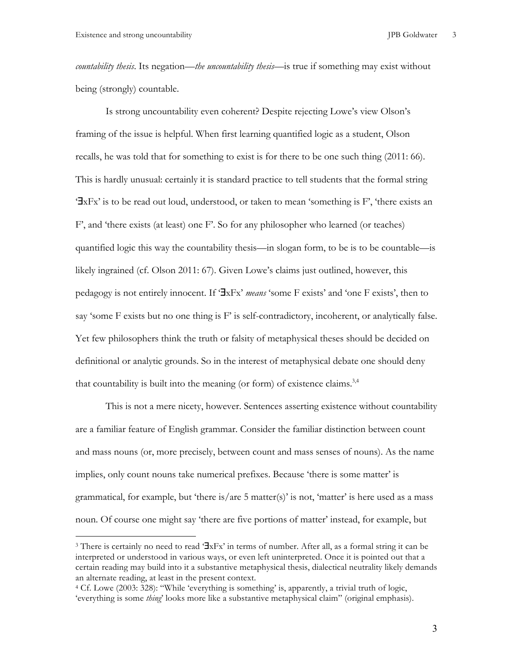*countability thesis*. Its negation—*the uncountability thesis*—is true if something may exist without being (strongly) countable.

Is strong uncountability even coherent? Despite rejecting Lowe's view Olson's framing of the issue is helpful. When first learning quantified logic as a student, Olson recalls, he was told that for something to exist is for there to be one such thing (2011: 66). This is hardly unusual: certainly it is standard practice to tell students that the formal string '∃xFx' is to be read out loud, understood, or taken to mean 'something is F', 'there exists an F', and 'there exists (at least) one F'. So for any philosopher who learned (or teaches) quantified logic this way the countability thesis—in slogan form, to be is to be countable—is likely ingrained (cf. Olson 2011: 67). Given Lowe's claims just outlined, however, this pedagogy is not entirely innocent. If '∃xFx' *means* 'some F exists' and 'one F exists', then to say 'some  $F$  exists but no one thing is  $F'$  is self-contradictory, incoherent, or analytically false. Yet few philosophers think the truth or falsity of metaphysical theses should be decided on definitional or analytic grounds. So in the interest of metaphysical debate one should deny that countability is built into the meaning (or form) of existence claims.<sup>3,4</sup>

This is not a mere nicety, however. Sentences asserting existence without countability are a familiar feature of English grammar. Consider the familiar distinction between count and mass nouns (or, more precisely, between count and mass senses of nouns). As the name implies, only count nouns take numerical prefixes. Because 'there is some matter' is grammatical, for example, but 'there is/are 5 matter(s)' is not, 'matter' is here used as a mass noun. Of course one might say 'there are five portions of matter' instead, for example, but

<sup>3</sup> There is certainly no need to read '∃xFx' in terms of number. After all, as a formal string it can be interpreted or understood in various ways, or even left uninterpreted. Once it is pointed out that a certain reading may build into it a substantive metaphysical thesis, dialectical neutrality likely demands an alternate reading, at least in the present context.

<sup>4</sup> Cf. Lowe (2003: 328): "While 'everything is something' is, apparently, a trivial truth of logic, 'everything is some *thing*' looks more like a substantive metaphysical claim" (original emphasis).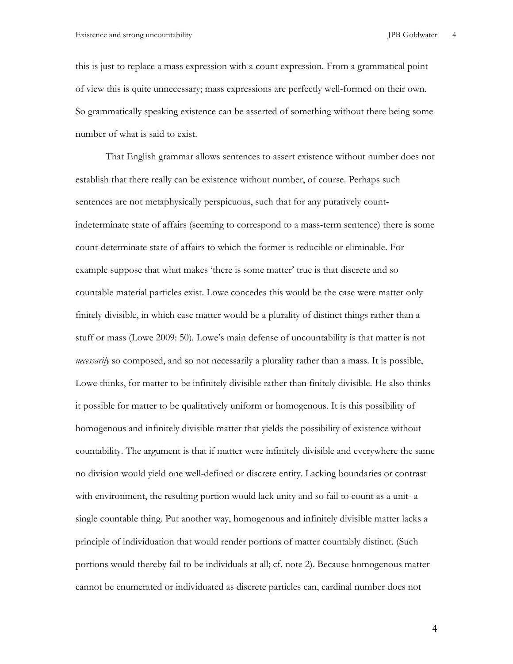this is just to replace a mass expression with a count expression. From a grammatical point of view this is quite unnecessary; mass expressions are perfectly well-formed on their own. So grammatically speaking existence can be asserted of something without there being some number of what is said to exist.

That English grammar allows sentences to assert existence without number does not establish that there really can be existence without number, of course. Perhaps such sentences are not metaphysically perspicuous, such that for any putatively countindeterminate state of affairs (seeming to correspond to a mass-term sentence) there is some count-determinate state of affairs to which the former is reducible or eliminable. For example suppose that what makes 'there is some matter' true is that discrete and so countable material particles exist. Lowe concedes this would be the case were matter only finitely divisible, in which case matter would be a plurality of distinct things rather than a stuff or mass (Lowe 2009: 50). Lowe's main defense of uncountability is that matter is not *necessarily* so composed, and so not necessarily a plurality rather than a mass. It is possible, Lowe thinks, for matter to be infinitely divisible rather than finitely divisible. He also thinks it possible for matter to be qualitatively uniform or homogenous. It is this possibility of homogenous and infinitely divisible matter that yields the possibility of existence without countability. The argument is that if matter were infinitely divisible and everywhere the same no division would yield one well-defined or discrete entity. Lacking boundaries or contrast with environment, the resulting portion would lack unity and so fail to count as a unit- a single countable thing. Put another way, homogenous and infinitely divisible matter lacks a principle of individuation that would render portions of matter countably distinct. (Such portions would thereby fail to be individuals at all; cf. note 2). Because homogenous matter cannot be enumerated or individuated as discrete particles can, cardinal number does not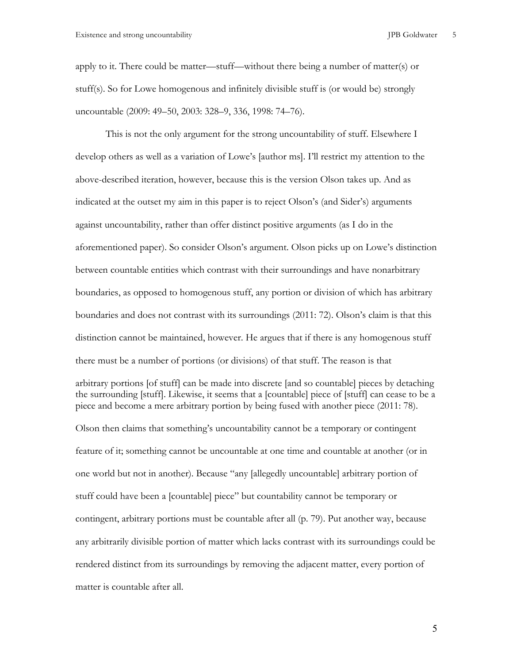apply to it. There could be matter—stuff—without there being a number of matter(s) or stuff(s). So for Lowe homogenous and infinitely divisible stuff is (or would be) strongly uncountable (2009: 49–50, 2003: 328–9, 336, 1998: 74–76).

This is not the only argument for the strong uncountability of stuff. Elsewhere I develop others as well as a variation of Lowe's [author ms]. I'll restrict my attention to the above-described iteration, however, because this is the version Olson takes up. And as indicated at the outset my aim in this paper is to reject Olson's (and Sider's) arguments against uncountability, rather than offer distinct positive arguments (as I do in the aforementioned paper). So consider Olson's argument. Olson picks up on Lowe's distinction between countable entities which contrast with their surroundings and have nonarbitrary boundaries, as opposed to homogenous stuff, any portion or division of which has arbitrary boundaries and does not contrast with its surroundings (2011: 72). Olson's claim is that this distinction cannot be maintained, however. He argues that if there is any homogenous stuff there must be a number of portions (or divisions) of that stuff. The reason is that

arbitrary portions [of stuff] can be made into discrete [and so countable] pieces by detaching the surrounding [stuff]. Likewise, it seems that a [countable] piece of [stuff] can cease to be a piece and become a mere arbitrary portion by being fused with another piece (2011: 78).

Olson then claims that something's uncountability cannot be a temporary or contingent feature of it; something cannot be uncountable at one time and countable at another (or in one world but not in another). Because "any [allegedly uncountable] arbitrary portion of stuff could have been a [countable] piece" but countability cannot be temporary or contingent, arbitrary portions must be countable after all (p. 79). Put another way, because any arbitrarily divisible portion of matter which lacks contrast with its surroundings could be rendered distinct from its surroundings by removing the adjacent matter, every portion of matter is countable after all.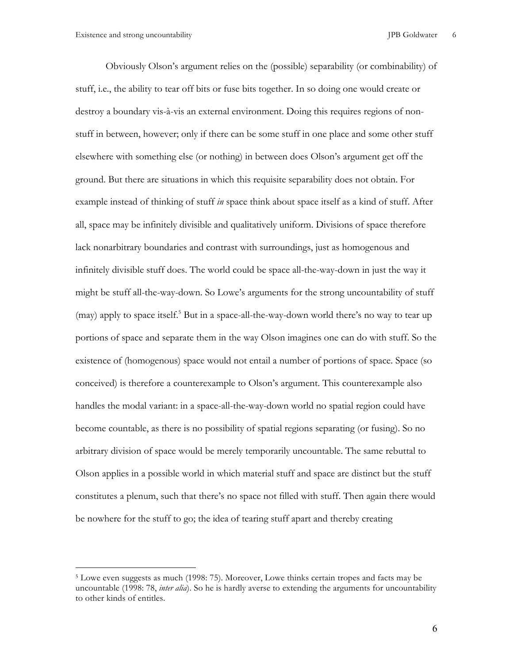Obviously Olson's argument relies on the (possible) separability (or combinability) of stuff, i.e., the ability to tear off bits or fuse bits together. In so doing one would create or destroy a boundary vis-à-vis an external environment. Doing this requires regions of nonstuff in between, however; only if there can be some stuff in one place and some other stuff elsewhere with something else (or nothing) in between does Olson's argument get off the ground. But there are situations in which this requisite separability does not obtain. For example instead of thinking of stuff *in* space think about space itself as a kind of stuff. After all, space may be infinitely divisible and qualitatively uniform. Divisions of space therefore lack nonarbitrary boundaries and contrast with surroundings, just as homogenous and infinitely divisible stuff does. The world could be space all-the-way-down in just the way it might be stuff all-the-way-down. So Lowe's arguments for the strong uncountability of stuff (may) apply to space itself.<sup>5</sup> But in a space-all-the-way-down world there's no way to tear up portions of space and separate them in the way Olson imagines one can do with stuff. So the existence of (homogenous) space would not entail a number of portions of space. Space (so conceived) is therefore a counterexample to Olson's argument. This counterexample also handles the modal variant: in a space-all-the-way-down world no spatial region could have become countable, as there is no possibility of spatial regions separating (or fusing). So no arbitrary division of space would be merely temporarily uncountable. The same rebuttal to Olson applies in a possible world in which material stuff and space are distinct but the stuff constitutes a plenum, such that there's no space not filled with stuff. Then again there would be nowhere for the stuff to go; the idea of tearing stuff apart and thereby creating

<sup>5</sup> Lowe even suggests as much (1998: 75). Moreover, Lowe thinks certain tropes and facts may be uncountable (1998: 78, *inter alia*). So he is hardly averse to extending the arguments for uncountability to other kinds of entitles.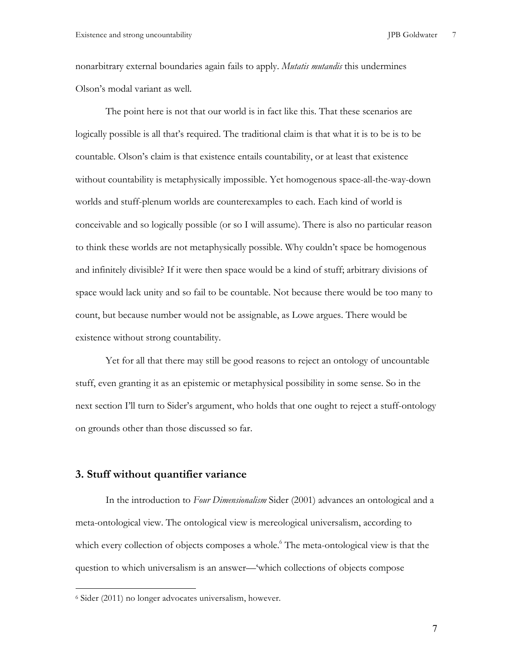nonarbitrary external boundaries again fails to apply. *Mutatis mutandis* this undermines Olson's modal variant as well.

The point here is not that our world is in fact like this. That these scenarios are logically possible is all that's required. The traditional claim is that what it is to be is to be countable. Olson's claim is that existence entails countability, or at least that existence without countability is metaphysically impossible. Yet homogenous space-all-the-way-down worlds and stuff-plenum worlds are counterexamples to each. Each kind of world is conceivable and so logically possible (or so I will assume). There is also no particular reason to think these worlds are not metaphysically possible. Why couldn't space be homogenous and infinitely divisible? If it were then space would be a kind of stuff; arbitrary divisions of space would lack unity and so fail to be countable. Not because there would be too many to count, but because number would not be assignable, as Lowe argues. There would be existence without strong countability.

Yet for all that there may still be good reasons to reject an ontology of uncountable stuff, even granting it as an epistemic or metaphysical possibility in some sense. So in the next section I'll turn to Sider's argument, who holds that one ought to reject a stuff-ontology on grounds other than those discussed so far.

### **3. Stuff without quantifier variance**

In the introduction to *Four Dimensionalism* Sider (2001) advances an ontological and a meta-ontological view. The ontological view is mereological universalism, according to which every collection of objects composes a whole.<sup>6</sup> The meta-ontological view is that the question to which universalism is an answer—'which collections of objects compose

 $\overline{a}$ 

<sup>6</sup> Sider (2011) no longer advocates universalism, however.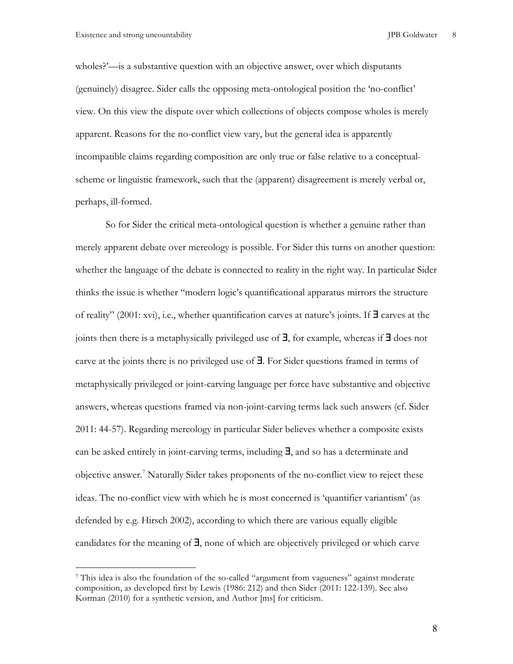wholes?'—is a substantive question with an objective answer, over which disputants (genuinely) disagree. Sider calls the opposing meta-ontological position the 'no-conflict' view. On this view the dispute over which collections of objects compose wholes is merely apparent. Reasons for the no-conflict view vary, but the general idea is apparently incompatible claims regarding composition are only true or false relative to a conceptualscheme or linguistic framework, such that the (apparent) disagreement is merely verbal or, perhaps, ill-formed.

So for Sider the critical meta-ontological question is whether a genuine rather than merely apparent debate over mereology is possible. For Sider this turns on another question: whether the language of the debate is connected to reality in the right way. In particular Sider thinks the issue is whether "modern logic's quantificational apparatus mirrors the structure of reality" (2001: xvi), i.e., whether quantification carves at nature's joints. If ∃ carves at the joints then there is a metaphysically privileged use of ∃, for example, whereas if ∃ does not carve at the joints there is no privileged use of ∃. For Sider questions framed in terms of metaphysically privileged or joint-carving language per force have substantive and objective answers, whereas questions framed via non-joint-carving terms lack such answers (cf. Sider 2011: 44-57). Regarding mereology in particular Sider believes whether a composite exists can be asked entirely in joint-carving terms, including ∃, and so has a determinate and objective answer.<sup>7</sup> Naturally Sider takes proponents of the no-conflict view to reject these ideas. The no-conflict view with which he is most concerned is 'quantifier variantism' (as defended by e.g. Hirsch 2002), according to which there are various equally eligible candidates for the meaning of ∃, none of which are objectively privileged or which carve

<sup>7</sup> This idea is also the foundation of the so-called "argument from vagueness" against moderate composition, as developed first by Lewis (1986: 212) and then Sider (2011: 122-139). See also Korman (2010) for a synthetic version, and Author [ms] for criticism.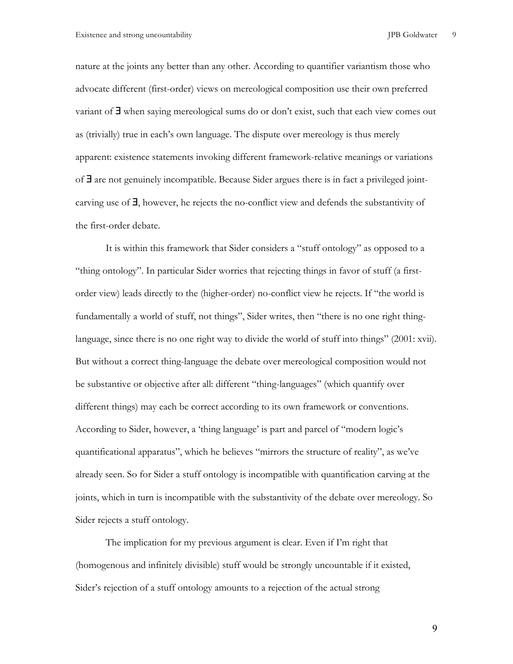nature at the joints any better than any other. According to quantifier variantism those who advocate different (first-order) views on mereological composition use their own preferred variant of ∃ when saying mereological sums do or don't exist, such that each view comes out as (trivially) true in each's own language. The dispute over mereology is thus merely apparent: existence statements invoking different framework-relative meanings or variations of ∃ are not genuinely incompatible. Because Sider argues there is in fact a privileged jointcarving use of ∃, however, he rejects the no-conflict view and defends the substantivity of the first-order debate.

It is within this framework that Sider considers a "stuff ontology" as opposed to a "thing ontology". In particular Sider worries that rejecting things in favor of stuff (a firstorder view) leads directly to the (higher-order) no-conflict view he rejects. If "the world is fundamentally a world of stuff, not things", Sider writes, then "there is no one right thinglanguage, since there is no one right way to divide the world of stuff into things" (2001: xvii). But without a correct thing-language the debate over mereological composition would not be substantive or objective after all: different "thing-languages" (which quantify over different things) may each be correct according to its own framework or conventions. According to Sider, however, a 'thing language' is part and parcel of "modern logic's quantificational apparatus", which he believes "mirrors the structure of reality", as we've already seen. So for Sider a stuff ontology is incompatible with quantification carving at the joints, which in turn is incompatible with the substantivity of the debate over mereology. So Sider rejects a stuff ontology.

The implication for my previous argument is clear. Even if I'm right that (homogenous and infinitely divisible) stuff would be strongly uncountable if it existed, Sider's rejection of a stuff ontology amounts to a rejection of the actual strong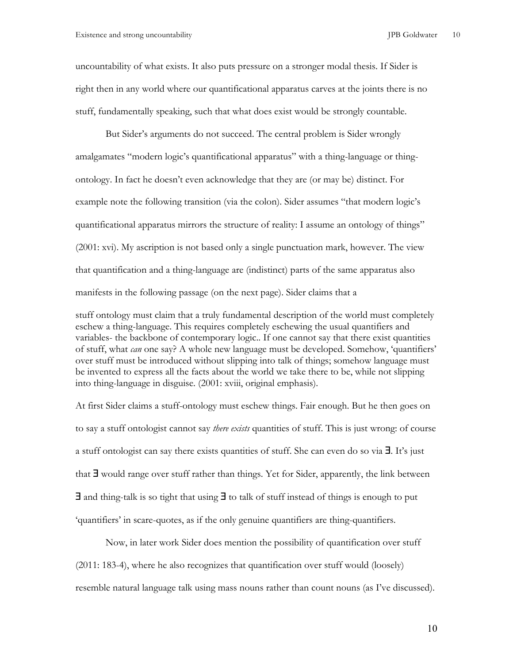uncountability of what exists. It also puts pressure on a stronger modal thesis. If Sider is right then in any world where our quantificational apparatus carves at the joints there is no stuff, fundamentally speaking, such that what does exist would be strongly countable.

But Sider's arguments do not succeed. The central problem is Sider wrongly amalgamates "modern logic's quantificational apparatus" with a thing-language or thingontology. In fact he doesn't even acknowledge that they are (or may be) distinct. For example note the following transition (via the colon). Sider assumes "that modern logic's quantificational apparatus mirrors the structure of reality: I assume an ontology of things" (2001: xvi). My ascription is not based only a single punctuation mark, however. The view that quantification and a thing-language are (indistinct) parts of the same apparatus also manifests in the following passage (on the next page). Sider claims that a

stuff ontology must claim that a truly fundamental description of the world must completely eschew a thing-language. This requires completely eschewing the usual quantifiers and variables- the backbone of contemporary logic.. If one cannot say that there exist quantities of stuff, what *can* one say? A whole new language must be developed. Somehow, 'quantifiers' over stuff must be introduced without slipping into talk of things; somehow language must be invented to express all the facts about the world we take there to be, while not slipping into thing-language in disguise. (2001: xviii, original emphasis).

At first Sider claims a stuff-ontology must eschew things. Fair enough. But he then goes on to say a stuff ontologist cannot say *there exists* quantities of stuff. This is just wrong: of course a stuff ontologist can say there exists quantities of stuff. She can even do so via ∃. It's just that ∃ would range over stuff rather than things. Yet for Sider, apparently, the link between ∃ and thing-talk is so tight that using ∃ to talk of stuff instead of things is enough to put 'quantifiers' in scare-quotes, as if the only genuine quantifiers are thing-quantifiers.

Now, in later work Sider does mention the possibility of quantification over stuff (2011: 183-4), where he also recognizes that quantification over stuff would (loosely) resemble natural language talk using mass nouns rather than count nouns (as I've discussed).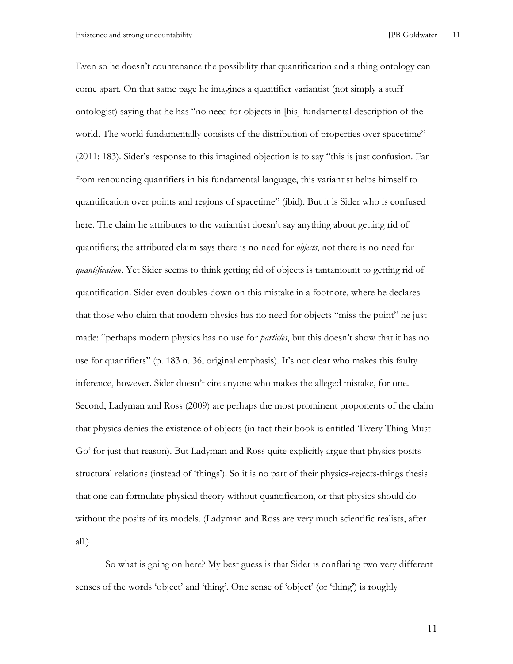Even so he doesn't countenance the possibility that quantification and a thing ontology can come apart. On that same page he imagines a quantifier variantist (not simply a stuff ontologist) saying that he has "no need for objects in [his] fundamental description of the world. The world fundamentally consists of the distribution of properties over spacetime" (2011: 183). Sider's response to this imagined objection is to say "this is just confusion. Far from renouncing quantifiers in his fundamental language, this variantist helps himself to quantification over points and regions of spacetime" (ibid). But it is Sider who is confused here. The claim he attributes to the variantist doesn't say anything about getting rid of quantifiers; the attributed claim says there is no need for *objects*, not there is no need for *quantification*. Yet Sider seems to think getting rid of objects is tantamount to getting rid of quantification. Sider even doubles-down on this mistake in a footnote, where he declares that those who claim that modern physics has no need for objects "miss the point" he just made: "perhaps modern physics has no use for *particles*, but this doesn't show that it has no use for quantifiers" (p. 183 n. 36, original emphasis). It's not clear who makes this faulty inference, however. Sider doesn't cite anyone who makes the alleged mistake, for one. Second, Ladyman and Ross (2009) are perhaps the most prominent proponents of the claim that physics denies the existence of objects (in fact their book is entitled 'Every Thing Must Go' for just that reason). But Ladyman and Ross quite explicitly argue that physics posits structural relations (instead of 'things'). So it is no part of their physics-rejects-things thesis that one can formulate physical theory without quantification, or that physics should do without the posits of its models. (Ladyman and Ross are very much scientific realists, after all.)

So what is going on here? My best guess is that Sider is conflating two very different senses of the words 'object' and 'thing'. One sense of 'object' (or 'thing') is roughly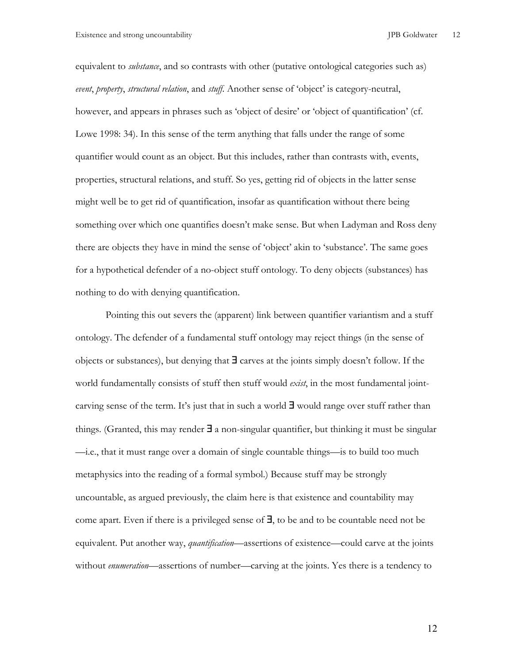equivalent to *substance*, and so contrasts with other (putative ontological categories such as) *event*, *property*, *structural relation*, and *stuff*. Another sense of 'object' is category-neutral, however, and appears in phrases such as 'object of desire' or 'object of quantification' (cf. Lowe 1998: 34). In this sense of the term anything that falls under the range of some quantifier would count as an object. But this includes, rather than contrasts with, events, properties, structural relations, and stuff. So yes, getting rid of objects in the latter sense might well be to get rid of quantification, insofar as quantification without there being something over which one quantifies doesn't make sense. But when Ladyman and Ross deny there are objects they have in mind the sense of 'object' akin to 'substance'. The same goes for a hypothetical defender of a no-object stuff ontology. To deny objects (substances) has nothing to do with denying quantification.

Pointing this out severs the (apparent) link between quantifier variantism and a stuff ontology. The defender of a fundamental stuff ontology may reject things (in the sense of objects or substances), but denying that  $\exists$  carves at the joints simply doesn't follow. If the world fundamentally consists of stuff then stuff would *exist*, in the most fundamental jointcarving sense of the term. It's just that in such a world ∃ would range over stuff rather than things. (Granted, this may render  $\exists$  a non-singular quantifier, but thinking it must be singular —i.e., that it must range over a domain of single countable things—is to build too much metaphysics into the reading of a formal symbol.) Because stuff may be strongly uncountable, as argued previously, the claim here is that existence and countability may come apart. Even if there is a privileged sense of ∃, to be and to be countable need not be equivalent. Put another way, *quantification*—assertions of existence—could carve at the joints without *enumeration*—assertions of number—carving at the joints. Yes there is a tendency to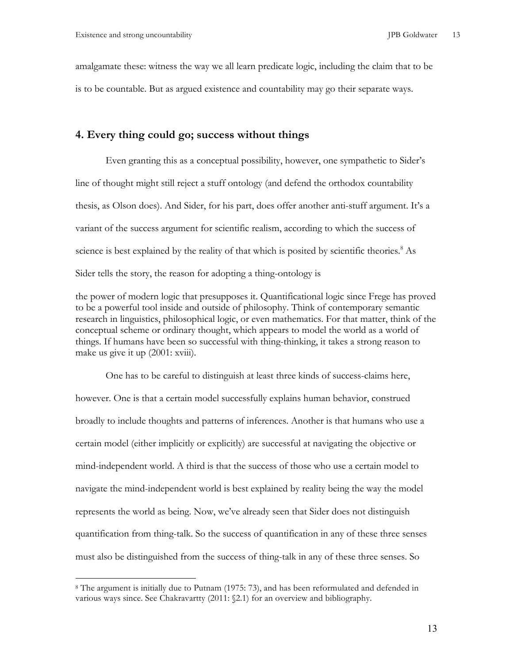amalgamate these: witness the way we all learn predicate logic, including the claim that to be is to be countable. But as argued existence and countability may go their separate ways.

## **4. Every thing could go; success without things**

Even granting this as a conceptual possibility, however, one sympathetic to Sider's line of thought might still reject a stuff ontology (and defend the orthodox countability thesis, as Olson does). And Sider, for his part, does offer another anti-stuff argument. It's a variant of the success argument for scientific realism, according to which the success of science is best explained by the reality of that which is posited by scientific theories.<sup>8</sup> As Sider tells the story, the reason for adopting a thing-ontology is

the power of modern logic that presupposes it. Quantificational logic since Frege has proved to be a powerful tool inside and outside of philosophy. Think of contemporary semantic research in linguistics, philosophical logic, or even mathematics. For that matter, think of the conceptual scheme or ordinary thought, which appears to model the world as a world of things. If humans have been so successful with thing-thinking, it takes a strong reason to make us give it up  $(2001: xviii)$ .

One has to be careful to distinguish at least three kinds of success-claims here, however. One is that a certain model successfully explains human behavior, construed broadly to include thoughts and patterns of inferences. Another is that humans who use a certain model (either implicitly or explicitly) are successful at navigating the objective or mind-independent world. A third is that the success of those who use a certain model to navigate the mind-independent world is best explained by reality being the way the model represents the world as being. Now, we've already seen that Sider does not distinguish quantification from thing-talk. So the success of quantification in any of these three senses must also be distinguished from the success of thing-talk in any of these three senses. So

<sup>8</sup> The argument is initially due to Putnam (1975: 73), and has been reformulated and defended in various ways since. See Chakravartty (2011: §2.1) for an overview and bibliography.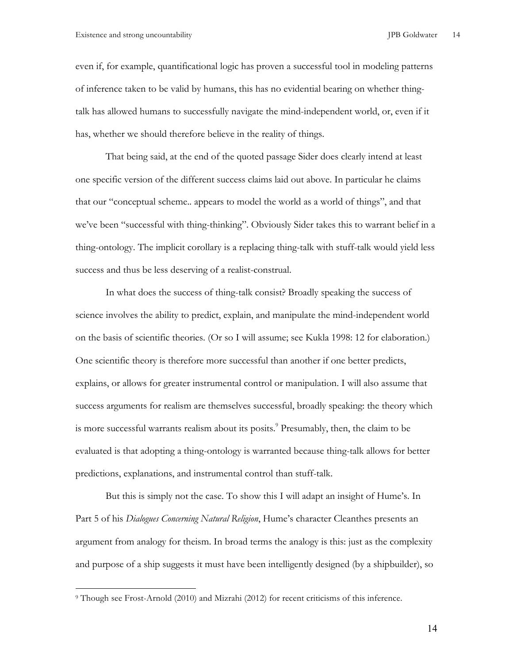even if, for example, quantificational logic has proven a successful tool in modeling patterns of inference taken to be valid by humans, this has no evidential bearing on whether thingtalk has allowed humans to successfully navigate the mind-independent world, or, even if it has, whether we should therefore believe in the reality of things.

That being said, at the end of the quoted passage Sider does clearly intend at least one specific version of the different success claims laid out above. In particular he claims that our "conceptual scheme.. appears to model the world as a world of things", and that we've been "successful with thing-thinking". Obviously Sider takes this to warrant belief in a thing-ontology. The implicit corollary is a replacing thing-talk with stuff-talk would yield less success and thus be less deserving of a realist-construal.

In what does the success of thing-talk consist? Broadly speaking the success of science involves the ability to predict, explain, and manipulate the mind-independent world on the basis of scientific theories. (Or so I will assume; see Kukla 1998: 12 for elaboration.) One scientific theory is therefore more successful than another if one better predicts, explains, or allows for greater instrumental control or manipulation. I will also assume that success arguments for realism are themselves successful, broadly speaking: the theory which is more successful warrants realism about its posits.<sup>9</sup> Presumably, then, the claim to be evaluated is that adopting a thing-ontology is warranted because thing-talk allows for better predictions, explanations, and instrumental control than stuff-talk.

But this is simply not the case. To show this I will adapt an insight of Hume's. In Part 5 of his *Dialogues Concerning Natural Religion*, Hume's character Cleanthes presents an argument from analogy for theism. In broad terms the analogy is this: just as the complexity and purpose of a ship suggests it must have been intelligently designed (by a shipbuilder), so

 $\overline{a}$ 

<sup>9</sup> Though see Frost-Arnold (2010) and Mizrahi (2012) for recent criticisms of this inference.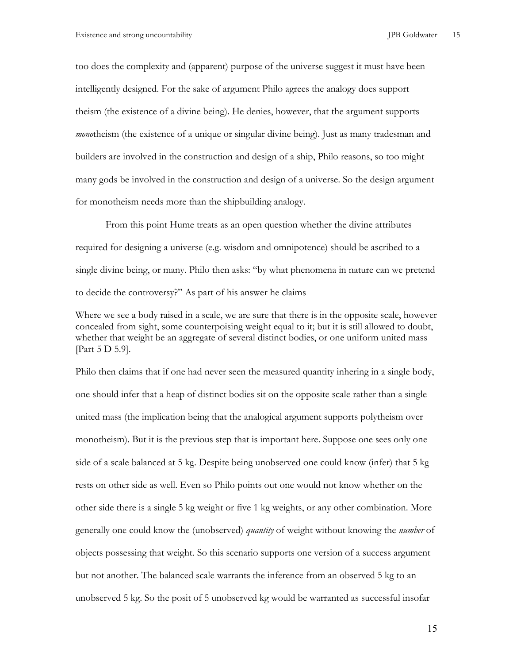too does the complexity and (apparent) purpose of the universe suggest it must have been intelligently designed. For the sake of argument Philo agrees the analogy does support theism (the existence of a divine being). He denies, however, that the argument supports *mono*theism (the existence of a unique or singular divine being). Just as many tradesman and builders are involved in the construction and design of a ship, Philo reasons, so too might many gods be involved in the construction and design of a universe. So the design argument for monotheism needs more than the shipbuilding analogy.

From this point Hume treats as an open question whether the divine attributes required for designing a universe (e.g. wisdom and omnipotence) should be ascribed to a single divine being, or many. Philo then asks: "by what phenomena in nature can we pretend to decide the controversy?" As part of his answer he claims

Where we see a body raised in a scale, we are sure that there is in the opposite scale, however concealed from sight, some counterpoising weight equal to it; but it is still allowed to doubt, whether that weight be an aggregate of several distinct bodies, or one uniform united mass [Part 5 D 5.9].

Philo then claims that if one had never seen the measured quantity inhering in a single body, one should infer that a heap of distinct bodies sit on the opposite scale rather than a single united mass (the implication being that the analogical argument supports polytheism over monotheism). But it is the previous step that is important here. Suppose one sees only one side of a scale balanced at 5 kg. Despite being unobserved one could know (infer) that 5 kg rests on other side as well. Even so Philo points out one would not know whether on the other side there is a single 5 kg weight or five 1 kg weights, or any other combination. More generally one could know the (unobserved) *quantity* of weight without knowing the *number* of objects possessing that weight. So this scenario supports one version of a success argument but not another. The balanced scale warrants the inference from an observed 5 kg to an unobserved 5 kg. So the posit of 5 unobserved kg would be warranted as successful insofar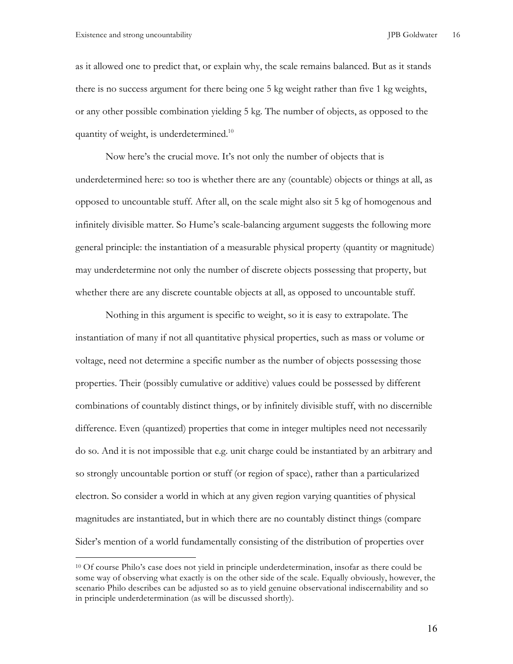as it allowed one to predict that, or explain why, the scale remains balanced. But as it stands there is no success argument for there being one 5 kg weight rather than five 1 kg weights, or any other possible combination yielding 5 kg. The number of objects, as opposed to the quantity of weight, is underdetermined.<sup>10</sup>

Now here's the crucial move. It's not only the number of objects that is underdetermined here: so too is whether there are any (countable) objects or things at all, as opposed to uncountable stuff. After all, on the scale might also sit 5 kg of homogenous and infinitely divisible matter. So Hume's scale-balancing argument suggests the following more general principle: the instantiation of a measurable physical property (quantity or magnitude) may underdetermine not only the number of discrete objects possessing that property, but whether there are any discrete countable objects at all, as opposed to uncountable stuff.

Nothing in this argument is specific to weight, so it is easy to extrapolate. The instantiation of many if not all quantitative physical properties, such as mass or volume or voltage, need not determine a specific number as the number of objects possessing those properties. Their (possibly cumulative or additive) values could be possessed by different combinations of countably distinct things, or by infinitely divisible stuff, with no discernible difference. Even (quantized) properties that come in integer multiples need not necessarily do so. And it is not impossible that e.g. unit charge could be instantiated by an arbitrary and so strongly uncountable portion or stuff (or region of space), rather than a particularized electron. So consider a world in which at any given region varying quantities of physical magnitudes are instantiated, but in which there are no countably distinct things (compare Sider's mention of a world fundamentally consisting of the distribution of properties over

<sup>10</sup> Of course Philo's case does not yield in principle underdetermination, insofar as there could be some way of observing what exactly is on the other side of the scale. Equally obviously, however, the scenario Philo describes can be adjusted so as to yield genuine observational indiscernability and so in principle underdetermination (as will be discussed shortly).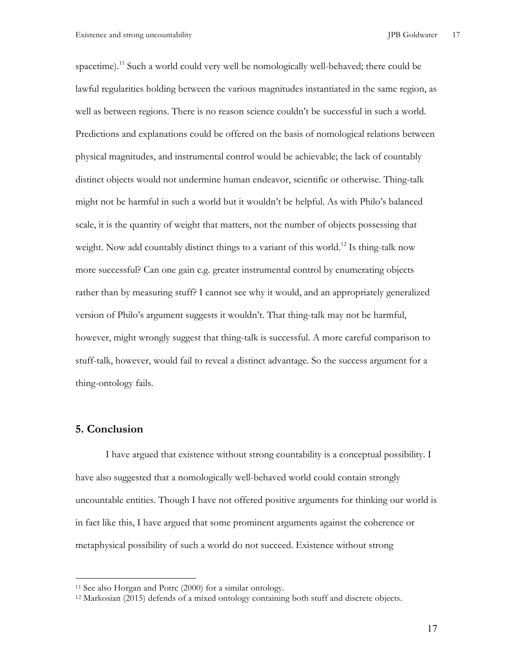spacetime).<sup>11</sup> Such a world could very well be nomologically well-behaved; there could be lawful regularities holding between the various magnitudes instantiated in the same region, as well as between regions. There is no reason science couldn't be successful in such a world. Predictions and explanations could be offered on the basis of nomological relations between physical magnitudes, and instrumental control would be achievable; the lack of countably distinct objects would not undermine human endeavor, scientific or otherwise. Thing-talk might not be harmful in such a world but it wouldn't be helpful. As with Philo's balanced scale, it is the quantity of weight that matters, not the number of objects possessing that weight. Now add countably distinct things to a variant of this world.<sup>12</sup> Is thing-talk now more successful? Can one gain e.g. greater instrumental control by enumerating objects rather than by measuring stuff? I cannot see why it would, and an appropriately generalized version of Philo's argument suggests it wouldn't. That thing-talk may not be harmful, however, might wrongly suggest that thing-talk is successful. A more careful comparison to stuff-talk, however, would fail to reveal a distinct advantage. So the success argument for a thing-ontology fails.

### **5. Conclusion**

 $\overline{a}$ 

I have argued that existence without strong countability is a conceptual possibility. I have also suggested that a nomologically well-behaved world could contain strongly uncountable entities. Though I have not offered positive arguments for thinking our world is in fact like this, I have argued that some prominent arguments against the coherence or metaphysical possibility of such a world do not succeed. Existence without strong

<sup>11</sup> See also Horgan and Potrc (2000) for a similar ontology.

<sup>12</sup> Markosian (2015) defends of a mixed ontology containing both stuff and discrete objects.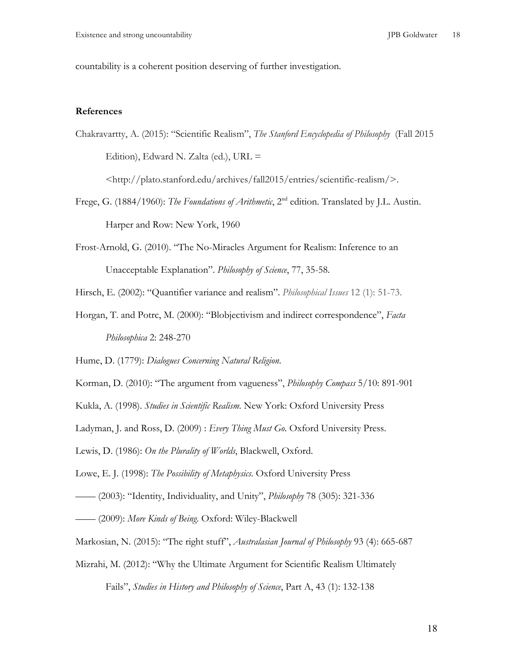countability is a coherent position deserving of further investigation.

### **References**

Chakravartty, A. (2015): "Scientific Realism", *The Stanford Encyclopedia of Philosophy* (Fall 2015 Edition), Edward N. Zalta (ed.), URL =

<http://plato.stanford.edu/archives/fall2015/entries/scientific-realism/>.

- Frege, G. (1884/1960): *The Foundations of Arithmetic*, 2<sup>nd</sup> edition. Translated by J.L. Austin. Harper and Row: New York, 1960
- Frost-Arnold, G. (2010). "The No-Miracles Argument for Realism: Inference to an Unacceptable Explanation". *Philosophy of Science*, 77, 35-58.

Hirsch, E. (2002): "Quantifier variance and realism". *Philosophical Issues* 12 (1): 51-73.

Horgan, T. and Potrc, M. (2000): "Blobjectivism and indirect correspondence", *Facta Philosophica* 2: 248-270

Hume, D. (1779): *Dialogues Concerning Natural Religion*.

- Korman, D. (2010): "The argument from vagueness", *Philosophy Compass* 5/10: 891-901
- Kukla, A. (1998). *Studies in Scientific Realism*. New York: Oxford University Press

Ladyman, J. and Ross, D. (2009) : *Every Thing Must Go*. Oxford University Press.

Lewis, D. (1986): *On the Plurality of Worlds*, Blackwell, Oxford.

Lowe, E. J. (1998): *The Possibility of Metaphysics*. Oxford University Press

—— (2003): "Identity, Individuality, and Unity", *Philosophy* 78 (305): 321-336

—— (2009): *More Kinds of Being*. Oxford: Wiley-Blackwell

- Markosian, N. (2015): "The right stuff", *Australasian Journal of Philosophy* 93 (4): 665-687
- Mizrahi, M. (2012): "Why the Ultimate Argument for Scientific Realism Ultimately Fails", *Studies in History and Philosophy of Science*, Part A, 43 (1): 132-138